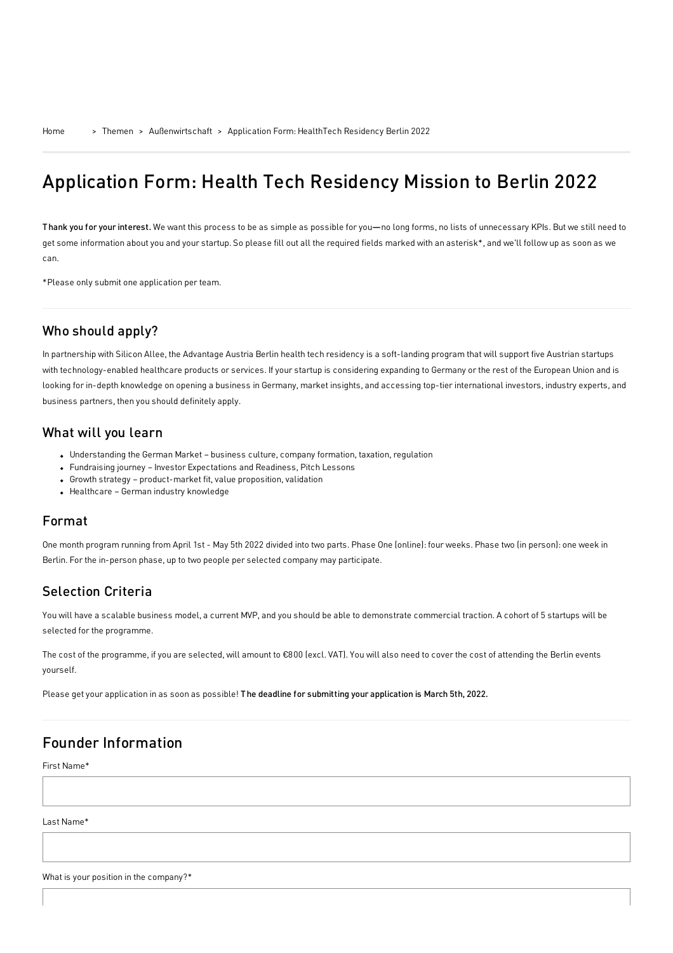# Application Form: Health Tech Residency Mission to Berlin 2022

Thank you for your interest. We want this process to be as simple as possible for you—no long forms, no lists of unnecessary KPIs. But we still need to get some information about you and your startup. So please fill out all the required fields marked with an asterisk\*, and we'll follow up as soon as we can.

\*Please only submit one application per team.

## Who should apply?

In partnership with Silicon Allee, the Advantage Austria Berlin health tech residency is a soft-landing program that will support five Austrian startups with technology-enabled healthcare products or services. If your startup is considering expanding to Germany or the rest of the European Union and is looking for in-depth knowledge on opening a business in Germany, market insights, and accessing top-tier international investors, industry experts, and business partners, then you should definitely apply.

### What will you learn

- Understanding the German Market business culture, company formation, taxation, regulation
- Fundraising journey Investor Expectations and Readiness, Pitch Lessons
- Growth strategy product-market fit, value proposition, validation
- Healthcare German industry knowledge

### Format

One month program running from April 1st - May 5th 2022 divided into two parts. Phase One (online): four weeks. Phase two (in person): one week in Berlin. For the in-person phase, up to two people per selected company may participate.

# Selection Criteria

You will have a scalable business model, a current MVP, and you should be able to demonstrate commercial traction. A cohort of 5 startups will be selected for the programme.

The cost of the programme, if you are selected, will amount to €800 (excl. VAT). You will also need to cover the cost of attending the Berlin events yourself.

Please get your application in as soon as possible! The deadline for submitting your application is March 5th, 2022.

# Founder Information

First Name\*

Last Name\*

What is your position in the company?\*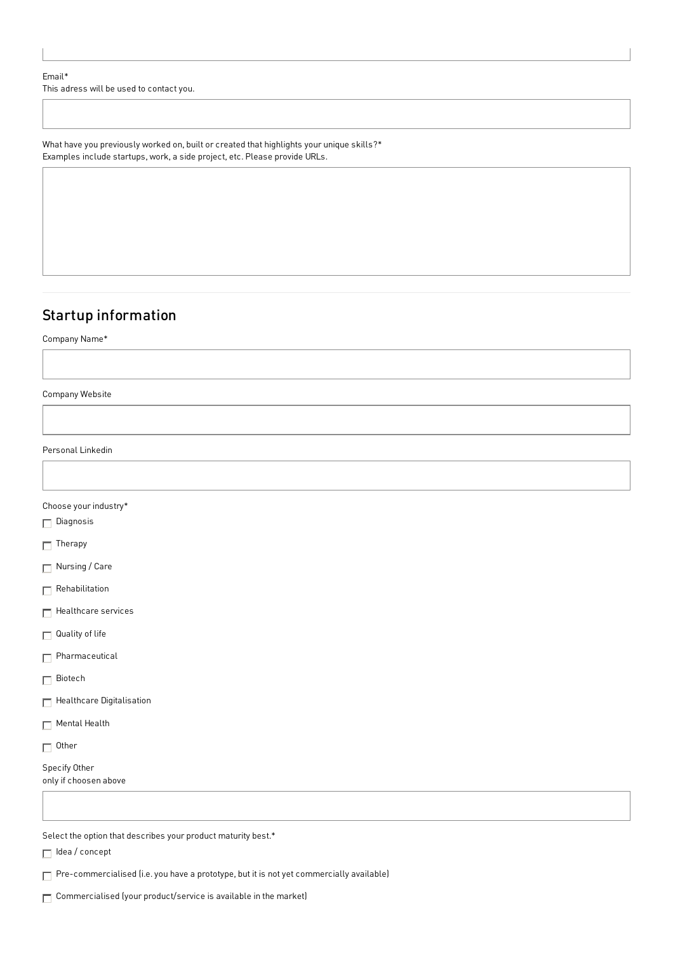#### Email\*

This adress will be used to contact you.

What have you previously worked on, built or created that highlights your unique skills?\* Examples include startups, work, a side project, etc. Please provide URLs.

# Startup information

Company Name\*

Company Website

Personal Linkedin

### Choose your industry\*

 $\Box$  Diagnosis

 $\Box$  Therapy

Nursing / Care

 $\Box$  Rehabilitation

 $\Box$  Healthcare services

 $\Box$  Quality of life

Pharmaceutical

**□** Biotech

 $\Box$  Healthcare Digitalisation

Mental Health

□ Other

Specify Other only if choosen above

Select the option that describes your product maturity best.\*

 $\Box$  Idea / concept

Pre-commercialised (i.e. you have a prototype, but it is not yet commercially available)

Commercialised (your product/service is available in the market)